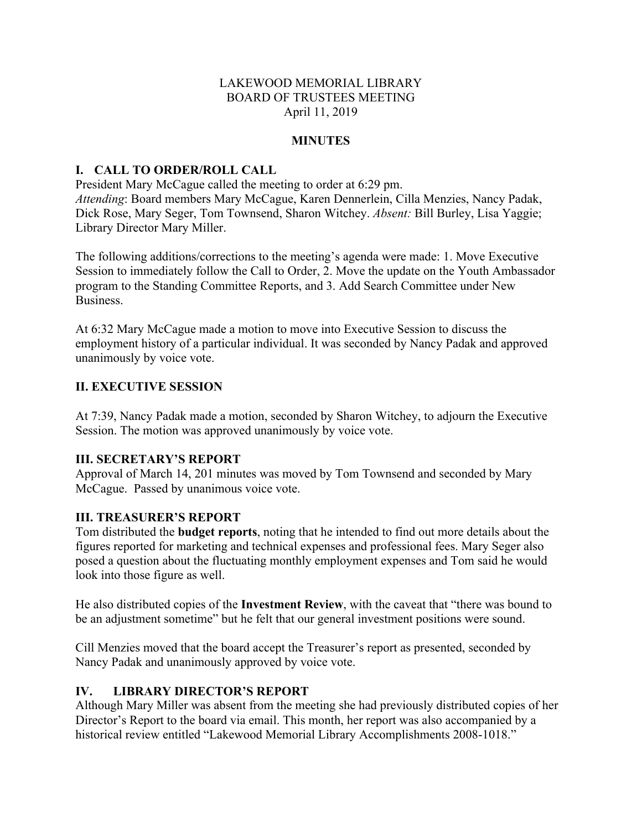### LAKEWOOD MEMORIAL LIBRARY BOARD OF TRUSTEES MEETING April 11, 2019

### **MINUTES**

### **I. CALL TO ORDER/ROLL CALL**

President Mary McCague called the meeting to order at 6:29 pm. *Attending*: Board members Mary McCague, Karen Dennerlein, Cilla Menzies, Nancy Padak, Dick Rose, Mary Seger, Tom Townsend, Sharon Witchey. *Absent:* Bill Burley, Lisa Yaggie; Library Director Mary Miller.

The following additions/corrections to the meeting's agenda were made: 1. Move Executive Session to immediately follow the Call to Order, 2. Move the update on the Youth Ambassador program to the Standing Committee Reports, and 3. Add Search Committee under New Business.

At 6:32 Mary McCague made a motion to move into Executive Session to discuss the employment history of a particular individual. It was seconded by Nancy Padak and approved unanimously by voice vote.

## **II. EXECUTIVE SESSION**

At 7:39, Nancy Padak made a motion, seconded by Sharon Witchey, to adjourn the Executive Session. The motion was approved unanimously by voice vote.

### **III. SECRETARY'S REPORT**

Approval of March 14, 201 minutes was moved by Tom Townsend and seconded by Mary McCague. Passed by unanimous voice vote.

### **III. TREASURER'S REPORT**

Tom distributed the **budget reports**, noting that he intended to find out more details about the figures reported for marketing and technical expenses and professional fees. Mary Seger also posed a question about the fluctuating monthly employment expenses and Tom said he would look into those figure as well.

He also distributed copies of the **Investment Review**, with the caveat that "there was bound to be an adjustment sometime" but he felt that our general investment positions were sound.

Cill Menzies moved that the board accept the Treasurer's report as presented, seconded by Nancy Padak and unanimously approved by voice vote.

### **IV. LIBRARY DIRECTOR'S REPORT**

Although Mary Miller was absent from the meeting she had previously distributed copies of her Director's Report to the board via email. This month, her report was also accompanied by a historical review entitled "Lakewood Memorial Library Accomplishments 2008-1018."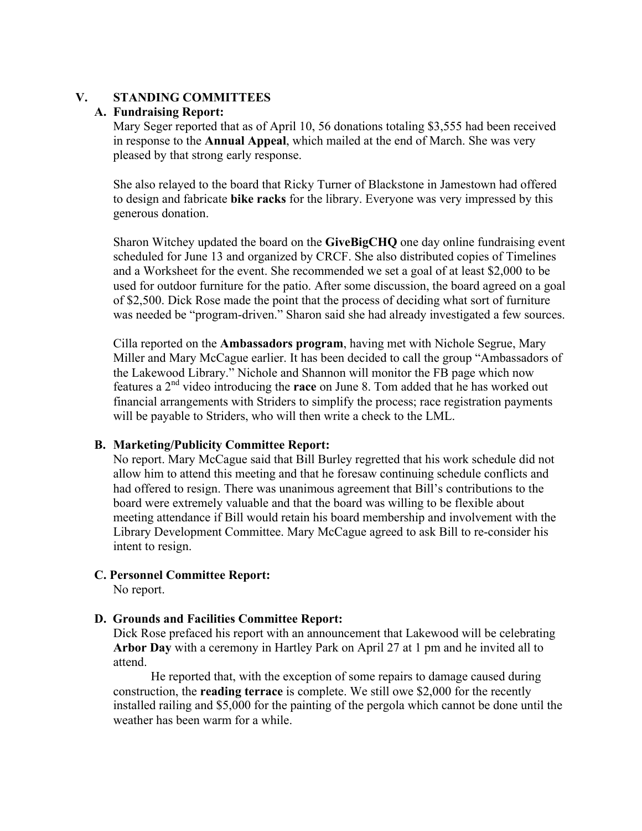## **V. STANDING COMMITTEES**

#### **A. Fundraising Report:**

Mary Seger reported that as of April 10, 56 donations totaling \$3,555 had been received in response to the **Annual Appeal**, which mailed at the end of March. She was very pleased by that strong early response.

She also relayed to the board that Ricky Turner of Blackstone in Jamestown had offered to design and fabricate **bike racks** for the library. Everyone was very impressed by this generous donation.

Sharon Witchey updated the board on the **GiveBigCHQ** one day online fundraising event scheduled for June 13 and organized by CRCF. She also distributed copies of Timelines and a Worksheet for the event. She recommended we set a goal of at least \$2,000 to be used for outdoor furniture for the patio. After some discussion, the board agreed on a goal of \$2,500. Dick Rose made the point that the process of deciding what sort of furniture was needed be "program-driven." Sharon said she had already investigated a few sources.

Cilla reported on the **Ambassadors program**, having met with Nichole Segrue, Mary Miller and Mary McCague earlier. It has been decided to call the group "Ambassadors of the Lakewood Library." Nichole and Shannon will monitor the FB page which now features a 2nd video introducing the **race** on June 8. Tom added that he has worked out financial arrangements with Striders to simplify the process; race registration payments will be payable to Striders, who will then write a check to the LML.

### **B. Marketing/Publicity Committee Report:**

No report. Mary McCague said that Bill Burley regretted that his work schedule did not allow him to attend this meeting and that he foresaw continuing schedule conflicts and had offered to resign. There was unanimous agreement that Bill's contributions to the board were extremely valuable and that the board was willing to be flexible about meeting attendance if Bill would retain his board membership and involvement with the Library Development Committee. Mary McCague agreed to ask Bill to re-consider his intent to resign.

### **C. Personnel Committee Report:**

No report.

# **D. Grounds and Facilities Committee Report:**

Dick Rose prefaced his report with an announcement that Lakewood will be celebrating **Arbor Day** with a ceremony in Hartley Park on April 27 at 1 pm and he invited all to attend.

He reported that, with the exception of some repairs to damage caused during construction, the **reading terrace** is complete. We still owe \$2,000 for the recently installed railing and \$5,000 for the painting of the pergola which cannot be done until the weather has been warm for a while.